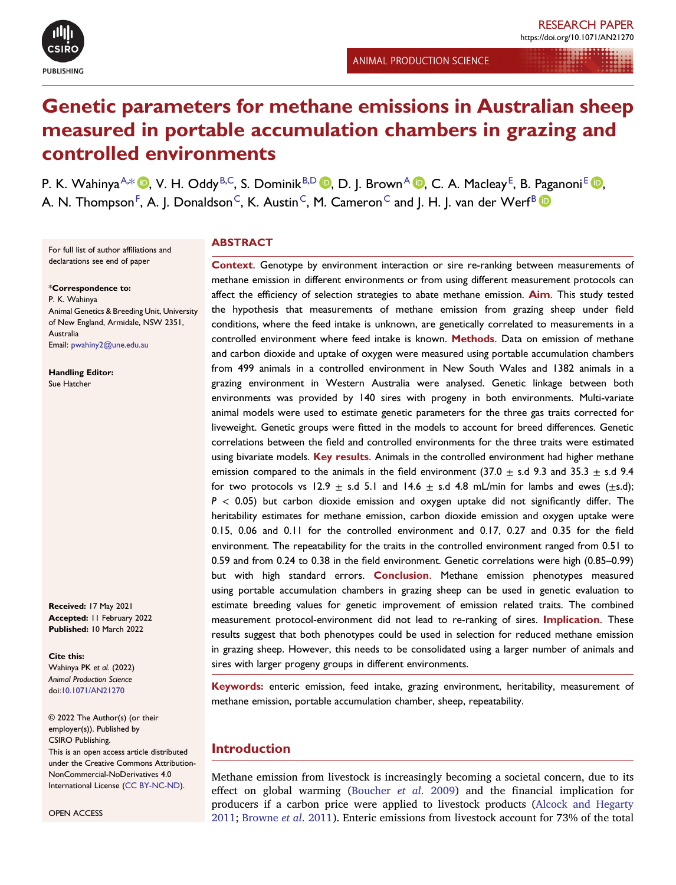

RESEARCH PAPER

# Genetic parameters for methane emissions in Australian sheep measured in portable accumulation chambers in grazing and controlled environments

<span id="page-0-2"></span><span id="page-0-1"></span>P. K. Wahinya<sup>[A,](#page-9-0)[\\*](#page-0-0) (D</sup>, V. H. Oddy<sup>[B](#page-9-1)[,C](#page-9-2)</sup>, S. [D](#page-9-3)ominik<sup>B,D</sup> (D, D. J. Brown<sup>[A](#page-9-0) (D</sup>, C. A. Macleay<sup>[E](#page-9-4)</sup>, B. Paganoni<sup>E</sup> (D, A. N. Thompson $^{\mathsf{F}},$  $^{\mathsf{F}},$  $^{\mathsf{F}},$  A. J. Donaldson $^{\mathsf{C}},$  $^{\mathsf{C}},$  $^{\mathsf{C}},$  K. Austin $^{\mathsf{C}},$  M. Cameron $^{\mathsf{C}}$  and J. H. J. van der Werf $^{\mathsf{B}}$  $^{\mathsf{B}}$  $^{\mathsf{B}}$ 

For full list of author affiliations and declarations see end of paper

<span id="page-0-0"></span>\*Correspondence to: P. K. Wahinya Animal Genetics & Breeding Unit, University of New England, Armidale, NSW 2351, Australia Email: [pwahiny2@une.edu.au](mailto:pwahiny2@une.edu.au)

Handling Editor: Sue Hatcher

Received: 17 May 2021 Accepted: 11 February 2022 Published: 10 March 2022

#### Cite this:

Wahinya PK et al. (2022) Animal Production Science doi:[10.1071/AN21270](https://doi.org/10.1071/AN21270)

© 2022 The Author(s) (or their employer(s)). Published by CSIRO Publishing. This is an open access article distributed under the Creative Commons Attribution-NonCommercial-NoDerivatives 4.0 International License (CC [BY-NC-ND\)](http://creativecommons.org/licenses/by-nc-nd/4.0/).

OPEN ACCESS

## **ABSTRACT**

Context. Genotype by environment interaction or sire re-ranking between measurements of methane emission in different environments or from using different measurement protocols can affect the efficiency of selection strategies to abate methane emission. Aim. This study tested the hypothesis that measurements of methane emission from grazing sheep under field conditions, where the feed intake is unknown, are genetically correlated to measurements in a controlled environment where feed intake is known. Methods. Data on emission of methane and carbon dioxide and uptake of oxygen were measured using portable accumulation chambers from 499 animals in a controlled environment in New South Wales and 1382 animals in a grazing environment in Western Australia were analysed. Genetic linkage between both environments was provided by 140 sires with progeny in both environments. Multi-variate animal models were used to estimate genetic parameters for the three gas traits corrected for liveweight. Genetic groups were fitted in the models to account for breed differences. Genetic correlations between the field and controlled environments for the three traits were estimated using bivariate models. Key results. Animals in the controlled environment had higher methane emission compared to the animals in the field environment (37.0  $\pm$  s.d 9.3 and 35.3  $\pm$  s.d 9.4 for two protocols vs 12.9  $\pm$  s.d 5.1 and 14.6  $\pm$  s.d 4.8 mL/min for lambs and ewes ( $\pm$ s.d);  $P < 0.05$ ) but carbon dioxide emission and oxygen uptake did not significantly differ. The heritability estimates for methane emission, carbon dioxide emission and oxygen uptake were 0.15, 0.06 and 0.11 for the controlled environment and 0.17, 0.27 and 0.35 for the field environment. The repeatability for the traits in the controlled environment ranged from 0.51 to 0.59 and from 0.24 to 0.38 in the field environment. Genetic correlations were high (0.85–[0.99](https://0.85�0.99)) but with high standard errors. Conclusion. Methane emission phenotypes measured using portable accumulation chambers in grazing sheep can be used in genetic evaluation to estimate breeding values for genetic improvement of emission related traits. The combined measurement protocol-environment did not lead to re-ranking of sires. Implication. These results suggest that both phenotypes could be used in selection for reduced methane emission in grazing sheep. However, this needs to be consolidated using a larger number of animals and sires with larger progeny groups in different environments.

Keywords: enteric emission, feed intake, grazing environment, heritability, measurement of methane emission, portable accumulation chamber, sheep, repeatability.

# Introduction

Methane emission from livestock is increasingly becoming a societal concern, due to its effect on global warming ([Boucher](#page-8-0) et al. 2009) and the financial implication for producers if a carbon price were applied to livestock products (Alcock and [Hegarty](#page-8-1) [2011;](#page-8-1) [Browne](#page-8-2) et al. 2011). Enteric emissions from livestock account for 73% of the total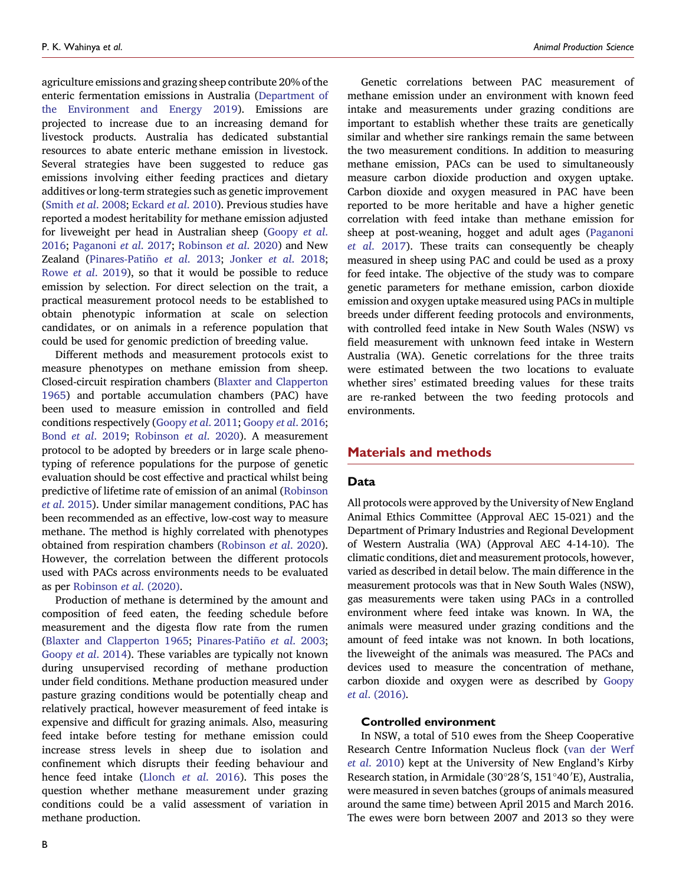agriculture emissions and grazing sheep contribute 20% of the enteric fermentation emissions in Australia ([Department](#page-8-3) of the [Environment](#page-8-3) and Energy 2019). Emissions are projected to increase due to an increasing demand for livestock products. Australia has dedicated substantial resources to abate enteric methane emission in livestock. Several strategies have been suggested to reduce gas emissions involving either feeding practices and dietary additives or long-term strategies such as genetic improvement [\(Smith](#page-8-4) et al. 2008; [Eckard](#page-8-5) et al. 2010). Previous studies have reported a modest heritability for methane emission adjusted for liveweight per head in Australian sheep ([Goopy](#page-8-6) et al. [2016](#page-8-6); [Paganoni](#page-8-7) et al. 2017; [Robinson](#page-8-8) et al. 2020) and New Zealand (Pinares-Patiño et al. [2013;](#page-8-9) [Jonker](#page-8-10) et al. 2018; [Rowe](#page-8-11) et al. 2019), so that it would be possible to reduce emission by selection. For direct selection on the trait, a practical measurement protocol needs to be established to obtain phenotypic information at scale on selection candidates, or on animals in a reference population that could be used for genomic prediction of breeding value.

Different methods and measurement protocols exist to measure phenotypes on methane emission from sheep. Closed-circuit respiration chambers (Blaxter and [Clapperton](#page-8-12) [1965](#page-8-12)) and portable accumulation chambers (PAC) have been used to measure emission in controlled and field conditions respectively ([Goopy](#page-8-13) et al. 2011; [Goopy](#page-8-6) et al. 2016; Bond et al. [2019;](#page-8-14) [Robinson](#page-8-8) et al. 2020). A measurement protocol to be adopted by breeders or in large scale phenotyping of reference populations for the purpose of genetic evaluation should be cost effective and practical whilst being predictive of lifetime rate of emission of an animal [\(Robinson](#page-8-15) et al. [2015](#page-8-15)). Under similar management conditions, PAC has been recommended as an effective, low-cost way to measure methane. The method is highly correlated with phenotypes obtained from respiration chambers [\(Robinson](#page-8-8) et al. 2020). However, the correlation between the different protocols used with PACs across environments needs to be evaluated as per [Robinson](#page-8-8) et al. (2020).

Production of methane is determined by the amount and composition of feed eaten, the feeding schedule before measurement and the digesta flow rate from the rumen (Blaxter and [Clapperton](#page-8-12) 1965; [Pinares-Pati](#page-8-16)ño et al. [2003;](#page-8-16) [Goopy](#page-8-17) et al. 2014). These variables are typically not known during unsupervised recording of methane production under field conditions. Methane production measured under pasture grazing conditions would be potentially cheap and relatively practical, however measurement of feed intake is expensive and difficult for grazing animals. Also, measuring feed intake before testing for methane emission could increase stress levels in sheep due to isolation and confinement which disrupts their feeding behaviour and hence feed intake [\(Llonch](#page-8-18) et al. 2016). This poses the question whether methane measurement under grazing conditions could be a valid assessment of variation in methane production.

Genetic correlations between PAC measurement of methane emission under an environment with known feed intake and measurements under grazing conditions are important to establish whether these traits are genetically similar and whether sire rankings remain the same between the two measurement conditions. In addition to measuring methane emission, PACs can be used to simultaneously measure carbon dioxide production and oxygen uptake. Carbon dioxide and oxygen measured in PAC have been reported to be more heritable and have a higher genetic correlation with feed intake than methane emission for sheep at post-weaning, hogget and adult ages ([Paganoni](#page-8-7) et al. [2017\)](#page-8-7). These traits can consequently be cheaply measured in sheep using PAC and could be used as a proxy for feed intake. The objective of the study was to compare genetic parameters for methane emission, carbon dioxide emission and oxygen uptake measured using PACs in multiple breeds under different feeding protocols and environments, with controlled feed intake in New South Wales (NSW) vs field measurement with unknown feed intake in Western Australia (WA). Genetic correlations for the three traits were estimated between the two locations to evaluate whether sires' estimated breeding values for these traits are re-ranked between the two feeding protocols and environments.

## Materials and methods

#### Data

All protocols were approved by the University of New England Animal Ethics Committee (Approval AEC 15-021) and the Department of Primary Industries and Regional Development of Western Australia (WA) (Approval AEC 4-14-10). The climatic conditions, diet and measurement protocols, however, varied as described in detail below. The main difference in the measurement protocols was that in New South Wales (NSW), gas measurements were taken using PACs in a controlled environment where feed intake was known. In WA, the animals were measured under grazing conditions and the amount of feed intake was not known. In both locations, the liveweight of the animals was measured. The PACs and devices used to measure the concentration of methane, carbon dioxide and oxygen were as described by [Goopy](#page-8-6) et al[. \(2016\)](#page-8-6).

#### Controlled environment

In NSW, a total of 510 ewes from the Sheep Cooperative Research Centre Information Nucleus flock (van der [Werf](#page-8-19) et al. [2010\)](#page-8-19) kept at the University of New England's Kirby Research station, in Armidale (30°28′S, 151°40′E), Australia, were measured in seven batches (groups of animals measured around the same time) between April 2015 and March 2016. The ewes were born between 2007 and 2013 so they were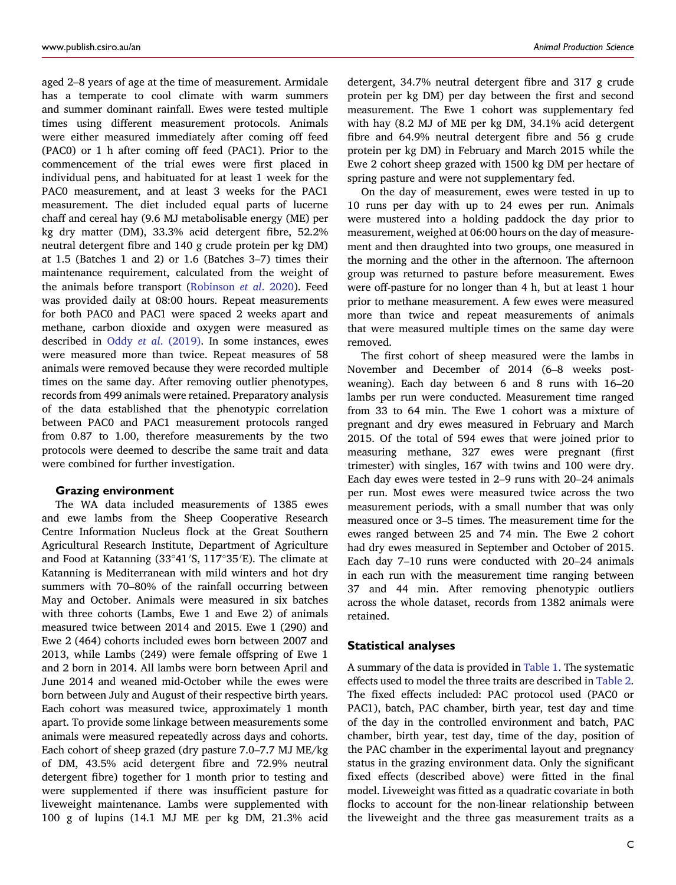aged 2–8 years of age at the time of measurement. Armidale has a temperate to cool climate with warm summers and summer dominant rainfall. Ewes were tested multiple times using different measurement protocols. Animals were either measured immediately after coming off feed (PAC0) or 1 h after coming off feed (PAC1). Prior to the commencement of the trial ewes were first placed in individual pens, and habituated for at least 1 week for the PAC0 measurement, and at least 3 weeks for the PAC1 measurement. The diet included equal parts of lucerne chaff and cereal hay (9.6 MJ metabolisable energy (ME) per kg dry matter (DM), 33.3% acid detergent fibre, 52.2% neutral detergent fibre and 140 g crude protein per kg DM) at 1.5 (Batches 1 and 2) or 1.6 (Batches 3–7) times their maintenance requirement, calculated from the weight of the animals before transport ([Robinson](#page-8-8) et al. 2020). Feed was provided daily at 08:00 hours. Repeat measurements for both PAC0 and PAC1 were spaced 2 weeks apart and methane, carbon dioxide and oxygen were measured as described in Oddy et al. [\(2019\).](#page-8-20) In some instances, ewes were measured more than twice. Repeat measures of 58 animals were removed because they were recorded multiple times on the same day. After removing outlier phenotypes, records from 499 animals were retained. Preparatory analysis of the data established that the phenotypic correlation between PAC0 and PAC1 measurement protocols ranged from 0.87 to 1.00, therefore measurements by the two protocols were deemed to describe the same trait and data were combined for further investigation.

#### Grazing environment

The WA data included measurements of 1385 ewes and ewe lambs from the Sheep Cooperative Research Centre Information Nucleus flock at the Great Southern Agricultural Research Institute, Department of Agriculture and Food at Katanning (33°41′S, 117°35′E). The climate at Katanning is Mediterranean with mild winters and hot dry summers with 70–80% of the rainfall occurring between May and October. Animals were measured in six batches with three cohorts (Lambs, Ewe 1 and Ewe 2) of animals measured twice between 2014 and 2015. Ewe 1 (290) and Ewe 2 (464) cohorts included ewes born between 2007 and 2013, while Lambs (249) were female offspring of Ewe 1 and 2 born in 2014. All lambs were born between April and June 2014 and weaned mid-October while the ewes were born between July and August of their respective birth years. Each cohort was measured twice, approximately 1 month apart. To provide some linkage between measurements some animals were measured repeatedly across days and cohorts. Each cohort of sheep grazed (dry pasture 7.0–7.7 MJ ME/kg of DM, 43.5% acid detergent fibre and 72.9% neutral detergent fibre) together for 1 month prior to testing and were supplemented if there was insufficient pasture for liveweight maintenance. Lambs were supplemented with 100 g of lupins (14.1 MJ ME per kg DM, 21.3% acid detergent, 34.7% neutral detergent fibre and 317 g crude protein per kg DM) per day between the first and second measurement. The Ewe 1 cohort was supplementary fed with hay (8.2 MJ of ME per kg DM, 34.1% acid detergent fibre and 64.9% neutral detergent fibre and 56 g crude protein per kg DM) in February and March 2015 while the Ewe 2 cohort sheep grazed with 1500 kg DM per hectare of spring pasture and were not supplementary fed.

On the day of measurement, ewes were tested in up to 10 runs per day with up to 24 ewes per run. Animals were mustered into a holding paddock the day prior to measurement, weighed at 06:00 hours on the day of measurement and then draughted into two groups, one measured in the morning and the other in the afternoon. The afternoon group was returned to pasture before measurement. Ewes were off-pasture for no longer than 4 h, but at least 1 hour prior to methane measurement. A few ewes were measured more than twice and repeat measurements of animals that were measured multiple times on the same day were removed.

The first cohort of sheep measured were the lambs in November and December of 2014 (6–8 weeks postweaning). Each day between 6 and 8 runs with 16–20 lambs per run were conducted. Measurement time ranged from 33 to 64 min. The Ewe 1 cohort was a mixture of pregnant and dry ewes measured in February and March 2015. Of the total of 594 ewes that were joined prior to measuring methane, 327 ewes were pregnant (first trimester) with singles, 167 with twins and 100 were dry. Each day ewes were tested in 2–9 runs with 20–24 animals per run. Most ewes were measured twice across the two measurement periods, with a small number that was only measured once or 3–5 times. The measurement time for the ewes ranged between 25 and 74 min. The Ewe 2 cohort had dry ewes measured in September and October of 2015. Each day 7–10 runs were conducted with 20–24 animals in each run with the measurement time ranging between 37 and 44 min. After removing phenotypic outliers across the whole dataset, records from 1382 animals were retained.

#### Statistical analyses

A summary of the data is provided in [Table](#page-3-0) 1. The systematic effects used to model the three traits are described in [Table](#page-3-1) 2. The fixed effects included: PAC protocol used (PAC0 or PAC1), batch, PAC chamber, birth year, test day and time of the day in the controlled environment and batch, PAC chamber, birth year, test day, time of the day, position of the PAC chamber in the experimental layout and pregnancy status in the grazing environment data. Only the significant fixed effects (described above) were fitted in the final model. Liveweight was fitted as a quadratic covariate in both flocks to account for the non-linear relationship between the liveweight and the three gas measurement traits as a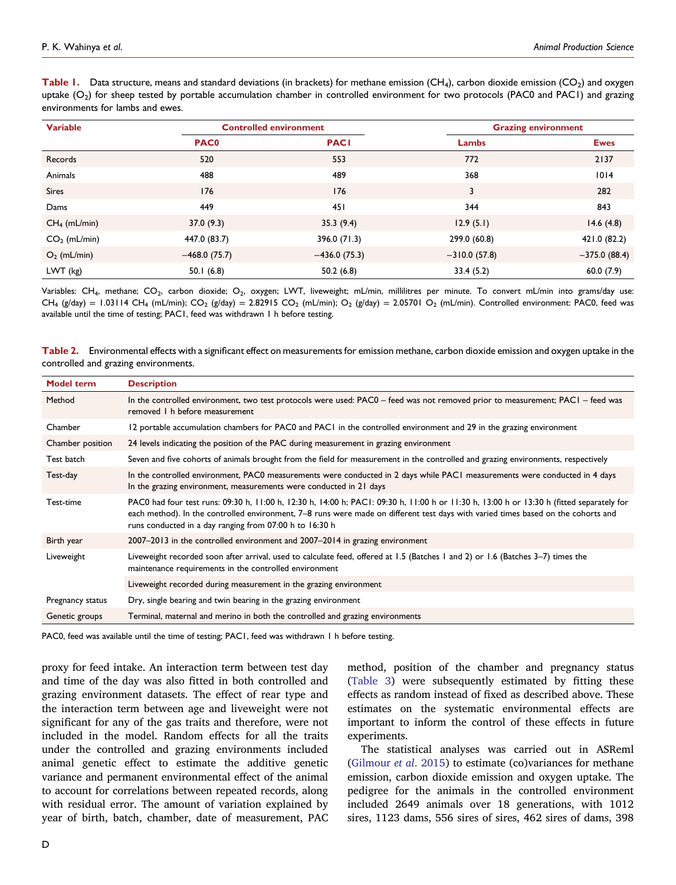<span id="page-3-0"></span>Table 1. Data structure, means and standard deviations (in brackets) for methane emission (CH<sub>4</sub>), carbon dioxide emission (CO<sub>2</sub>) and oxygen uptake  $(O_2)$  for sheep tested by portable accumulation chamber in controlled environment for two protocols (PAC0 and PAC1) and grazing environments for lambs and ewes.

| <b>Variable</b> |                | <b>Controlled environment</b> | <b>Grazing environment</b> |                |  |
|-----------------|----------------|-------------------------------|----------------------------|----------------|--|
|                 | <b>PAC0</b>    | <b>PACI</b>                   | Lambs                      | <b>Ewes</b>    |  |
| Records         | 520            | 553                           | 772                        | 2137           |  |
| Animals         | 488            | 489                           | 368                        | 1014           |  |
| <b>Sires</b>    | 176            | 176                           | 3                          | 282            |  |
| Dams            | 449            | 451                           | 344                        | 843            |  |
| $CH4$ (mL/min)  | 37.0(9.3)      | 35.3(9.4)                     | 12.9(5.1)                  | 14.6(4.8)      |  |
| $CO2$ (mL/min)  | 447.0 (83.7)   | 396.0 (71.3)                  | 299.0 (60.8)               | 421.0 (82.2)   |  |
| $O_2$ (mL/min)  | $-468.0(75.7)$ | $-436.0(75.3)$                | $-310.0(57.8)$             | $-375.0(88.4)$ |  |
| LWT (kg)        | 50.1(6.8)      | 50.2(6.8)                     | 33.4(5.2)                  | 60.0(7.9)      |  |

Variables: CH<sub>4</sub>, methane; CO<sub>2</sub>, carbon dioxide; O<sub>2</sub>, oxygen; LWT, liveweight; mL/min, millilitres per minute. To convert mL/min into grams/day use: CH<sub>4</sub> (g/day) = 1.03114 CH<sub>4</sub> (mL/min); CO<sub>2</sub> (g/day) = 2.82915 CO<sub>2</sub> (mL/min); O<sub>2</sub> (g/day) = 2.05701 O<sub>2</sub> (mL/min). Controlled environment: PAC0, feed was available until the time of testing; PAC1, feed was withdrawn 1 h before testing.

<span id="page-3-1"></span>Table 2. Environmental effects with a significant effect on measurements for emission methane, carbon dioxide emission and oxygen uptake in the controlled and grazing environments.

| <b>Model term</b> | <b>Description</b>                                                                                                                                                                                                                                                                                                                        |  |  |  |  |
|-------------------|-------------------------------------------------------------------------------------------------------------------------------------------------------------------------------------------------------------------------------------------------------------------------------------------------------------------------------------------|--|--|--|--|
| Method            | In the controlled environment, two test protocols were used: PAC0 – feed was not removed prior to measurement; PAC1 – feed was<br>removed 1 h before measurement                                                                                                                                                                          |  |  |  |  |
| Chamber           | 12 portable accumulation chambers for PAC0 and PAC1 in the controlled environment and 29 in the grazing environment                                                                                                                                                                                                                       |  |  |  |  |
| Chamber position  | 24 levels indicating the position of the PAC during measurement in grazing environment                                                                                                                                                                                                                                                    |  |  |  |  |
| Test batch        | Seven and five cohorts of animals brought from the field for measurement in the controlled and grazing environments, respectively                                                                                                                                                                                                         |  |  |  |  |
| Test-day          | In the controlled environment, PAC0 measurements were conducted in 2 days while PAC1 measurements were conducted in 4 days<br>In the grazing environment, measurements were conducted in 21 days                                                                                                                                          |  |  |  |  |
| Test-time         | PAC0 had four test runs: 09:30 h, 11:00 h, 12:30 h, 14:00 h; PAC1: 09:30 h, 11:00 h or 11:30 h, 13:00 h or 13:30 h (fitted separately for<br>each method). In the controlled environment, 7-8 runs were made on different test days with varied times based on the cohorts and<br>runs conducted in a day ranging from 07:00 h to 16:30 h |  |  |  |  |
| Birth year        | 2007–2013 in the controlled environment and 2007–2014 in grazing environment                                                                                                                                                                                                                                                              |  |  |  |  |
| Liveweight        | Liveweight recorded soon after arrival, used to calculate feed, offered at 1.5 (Batches 1 and 2) or 1.6 (Batches 3-7) times the<br>maintenance requirements in the controlled environment                                                                                                                                                 |  |  |  |  |
|                   | Liveweight recorded during measurement in the grazing environment                                                                                                                                                                                                                                                                         |  |  |  |  |
| Pregnancy status  | Dry, single bearing and twin bearing in the grazing environment                                                                                                                                                                                                                                                                           |  |  |  |  |
| Genetic groups    | Terminal, maternal and merino in both the controlled and grazing environments                                                                                                                                                                                                                                                             |  |  |  |  |

PAC0, feed was available until the time of testing; PAC1, feed was withdrawn 1 h before testing.

proxy for feed intake. An interaction term between test day and time of the day was also fitted in both controlled and grazing environment datasets. The effect of rear type and the interaction term between age and liveweight were not significant for any of the gas traits and therefore, were not included in the model. Random effects for all the traits under the controlled and grazing environments included animal genetic effect to estimate the additive genetic variance and permanent environmental effect of the animal to account for correlations between repeated records, along with residual error. The amount of variation explained by year of birth, batch, chamber, date of measurement, PAC method, position of the chamber and pregnancy status ([Table](#page-4-0) 3) were subsequently estimated by fitting these effects as random instead of fixed as described above. These estimates on the systematic environmental effects are important to inform the control of these effects in future experiments.

The statistical analyses was carried out in ASReml ([Gilmour](#page-8-21) et al. 2015) to estimate (co)variances for methane emission, carbon dioxide emission and oxygen uptake. The pedigree for the animals in the controlled environment included 2649 animals over 18 generations, with 1012 sires, 1123 dams, 556 sires of sires, 462 sires of dams, 398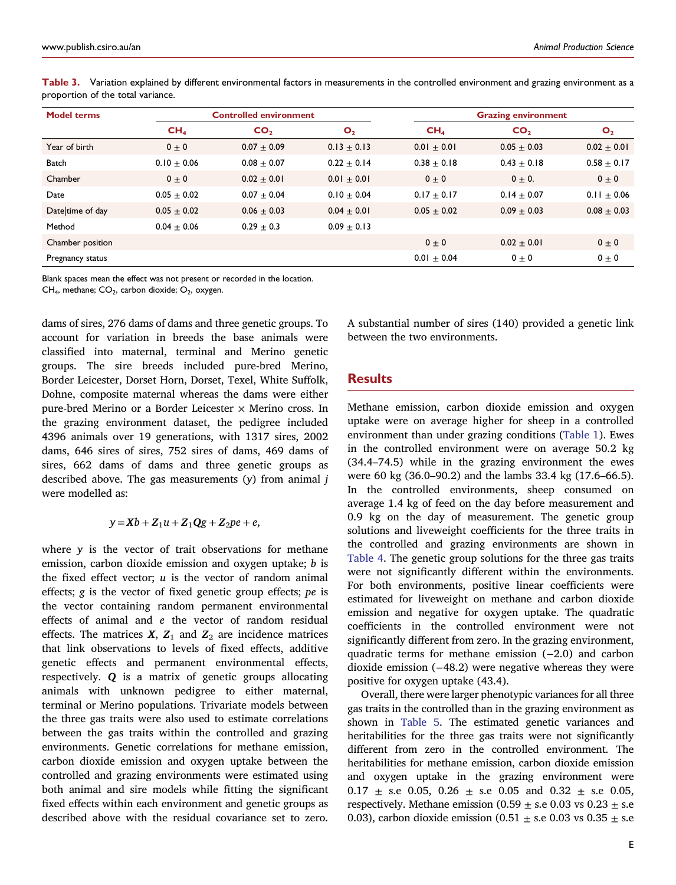| <b>Model terms</b> | <b>Controlled environment</b> |                 |                 | <b>Grazing environment</b> |                 |                 |
|--------------------|-------------------------------|-----------------|-----------------|----------------------------|-----------------|-----------------|
|                    | CH <sub>4</sub>               | CO <sub>2</sub> | $\mathbf{O}_2$  | CH <sub>4</sub>            | CO <sub>2</sub> | $\mathbf{O}_2$  |
| Year of birth      | $0 \pm 0$                     | $0.07 + 0.09$   | $0.13 \pm 0.13$ | $0.01 + 0.01$              | $0.05 + 0.03$   | $0.02 \pm 0.01$ |
| <b>Batch</b>       | $0.10 + 0.06$                 | $0.08 + 0.07$   | $0.22 + 0.14$   | $0.38 + 0.18$              | $0.43 + 0.18$   | $0.58 \pm 0.17$ |
| Chamber            | $0 \pm 0$                     | $0.02 + 0.01$   | $0.01 + 0.01$   | $0 \pm 0$                  | $0 + 0.$        | $0 \pm 0$       |
| Date               | $0.05 + 0.02$                 | $0.07 + 0.04$   | $0.10 + 0.04$   | $0.17 + 0.17$              | $0.14 + 0.07$   | $0.11 \pm 0.06$ |
| Date time of day   | $0.05 \pm 0.02$               | $0.06 \pm 0.03$ | $0.04 + 0.01$   | $0.05 \pm 0.02$            | $0.09 + 0.03$   | $0.08 \pm 0.03$ |
| Method             | $0.04 + 0.06$                 | $0.29 + 0.3$    | $0.09 \pm 0.13$ |                            |                 |                 |
| Chamber position   |                               |                 |                 | $0 \pm 0$                  | $0.02 + 0.01$   | $0 \pm 0$       |
| Pregnancy status   |                               |                 |                 | $0.01 \pm 0.04$            | $0 + 0$         | $0 \pm 0$       |

<span id="page-4-0"></span>Table 3. Variation explained by different environmental factors in measurements in the controlled environment and grazing environment as a proportion of the total variance.

Blank spaces mean the effect was not present or recorded in the location. CH<sub>4</sub>, methane; CO<sub>2</sub>, carbon dioxide; O<sub>2</sub>, oxygen.

dams of sires, 276 dams of dams and three genetic groups. To account for variation in breeds the base animals were classified into maternal, terminal and Merino genetic groups. The sire breeds included pure-bred Merino, Border Leicester, Dorset Horn, Dorset, Texel, White Suffolk, Dohne, composite maternal whereas the dams were either pure-bred Merino or a Border Leicester  $\times$  Merino cross. In the grazing environment dataset, the pedigree included 4396 animals over 19 generations, with 1317 sires, 2002 dams, 646 sires of sires, 752 sires of dams, 469 dams of sires, 662 dams of dams and three genetic groups as described above. The gas measurements  $(y)$  from animal  $j$ were modelled as:

$$
y = Xb + Z_1u + Z_1Qg + Z_2pe + e,
$$

where  $y$  is the vector of trait observations for methane emission, carbon dioxide emission and oxygen uptake; *b* is the fixed effect vector;  $u$  is the vector of random animal effects; g is the vector of fixed genetic group effects; pe is the vector containing random permanent environmental effects of animal and e the vector of random residual effects. The matrices  $X$ ,  $Z_1$  and  $Z_2$  are incidence matrices that link observations to levels of fixed effects, additive genetic effects and permanent environmental effects, respectively. Q is a matrix of genetic groups allocating animals with unknown pedigree to either maternal, terminal or Merino populations. Trivariate models between the three gas traits were also used to estimate correlations between the gas traits within the controlled and grazing environments. Genetic correlations for methane emission, carbon dioxide emission and oxygen uptake between the controlled and grazing environments were estimated using both animal and sire models while fitting the significant fixed effects within each environment and genetic groups as described above with the residual covariance set to zero.

A substantial number of sires (140) provided a genetic link between the two environments.

## Results

Methane emission, carbon dioxide emission and oxygen uptake were on average higher for sheep in a controlled environment than under grazing conditions [\(Table](#page-3-0) 1). Ewes in the controlled environment were on average 50.2 kg (34.4–74.5) while in the grazing environment the ewes were 60 kg (36.0–90.2) and the lambs 33.4 kg (17.6–66.5). In the controlled environments, sheep consumed on average 1.4 kg of feed on the day before measurement and 0.9 kg on the day of measurement. The genetic group solutions and liveweight coefficients for the three traits in the controlled and grazing environments are shown in [Table](#page-5-0) 4. The genetic group solutions for the three gas traits were not significantly different within the environments. For both environments, positive linear coefficients were estimated for liveweight on methane and carbon dioxide emission and negative for oxygen uptake. The quadratic coefficients in the controlled environment were not significantly different from zero. In the grazing environment, quadratic terms for methane emission (−2.0) and carbon dioxide emission (−48.2) were negative whereas they were positive for oxygen uptake (43.4).

Overall, there were larger phenotypic variances for all three gas traits in the controlled than in the grazing environment as shown in [Table](#page-5-1) 5. The estimated genetic variances and heritabilities for the three gas traits were not significantly different from zero in the controlled environment. The heritabilities for methane emission, carbon dioxide emission and oxygen uptake in the grazing environment were 0.17  $\pm$  s.e 0.05, 0.26  $\pm$  s.e 0.05 and 0.32  $\pm$  s.e 0.05, respectively. Methane emission (0.59  $\pm$  s.e 0.03 vs 0.23  $\pm$  s.e 0.03), carbon dioxide emission (0.51  $\pm$  s.e 0.03 vs 0.35  $\pm$  s.e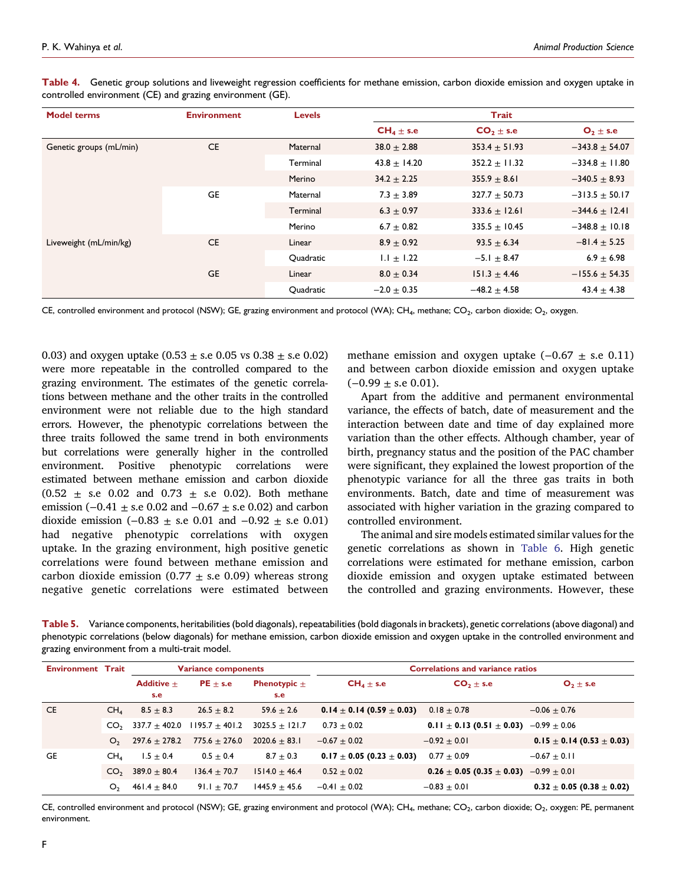<span id="page-5-0"></span>Table 4. Genetic group solutions and liveweight regression coefficients for methane emission, carbon dioxide emission and oxygen uptake in controlled environment (CE) and grazing environment (GE).

| <b>Model terms</b>      | <b>Environment</b> | <b>Levels</b> | Trait            |                   |                    |
|-------------------------|--------------------|---------------|------------------|-------------------|--------------------|
|                         |                    |               | $CH_4 \pm s.e$   | $CO2 \pm s.e$     | $O_2 \pm s.e$      |
| Genetic groups (mL/min) | <b>CE</b>          | Maternal      | $38.0 \pm 2.88$  | $353.4 \pm 51.93$ | $-343.8 \pm 54.07$ |
|                         |                    | Terminal      | $43.8 \pm 14.20$ | $352.2 \pm 11.32$ | $-334.8 \pm 11.80$ |
|                         |                    | Merino        | $34.2 \pm 2.25$  | $355.9 \pm 8.61$  | $-340.5 \pm 8.93$  |
|                         | GE                 | Maternal      | $7.3 + 3.89$     | $327.7 + 50.73$   | $-313.5 \pm 50.17$ |
|                         |                    | Terminal      | $6.3 \pm 0.97$   | $333.6 \pm 12.61$ | $-344.6 \pm 12.41$ |
|                         |                    | Merino        | $6.7 \pm 0.82$   | $335.5 \pm 10.45$ | $-348.8 \pm 10.18$ |
| Liveweight (mL/min/kg)  | <b>CE</b>          | Linear        | $8.9 + 0.92$     | $93.5 \pm 6.34$   | $-81.4 \pm 5.25$   |
|                         |                    | Quadratic     | $1.1 \pm 1.22$   | $-5.1 \pm 8.47$   | $6.9 \pm 6.98$     |
|                         | <b>GE</b>          | Linear        | $8.0 \pm 0.34$   | $151.3 \pm 4.46$  | $-155.6 \pm 54.35$ |
|                         |                    | Quadratic     | $-2.0 + 0.35$    | $-48.2 + 4.58$    | $43.4 + 4.38$      |

CE, controlled environment and protocol (NSW); GE, grazing environment and protocol (WA); CH4, methane; CO<sub>2</sub>, carbon dioxide; O<sub>2</sub>, oxygen.

0.03) and oxygen uptake  $(0.53 \pm s.e\ 0.05 \text{ vs } 0.38 \pm s.e\ 0.02)$ were more repeatable in the controlled compared to the grazing environment. The estimates of the genetic correlations between methane and the other traits in the controlled environment were not reliable due to the high standard errors. However, the phenotypic correlations between the three traits followed the same trend in both environments but correlations were generally higher in the controlled environment. Positive phenotypic correlations were estimated between methane emission and carbon dioxide  $(0.52 \pm s.e$  0.02 and 0.73  $\pm$  s.e 0.02). Both methane emission (−0.41  $\pm$  s.e 0.02 and −0.67  $\pm$  s.e 0.02) and carbon dioxide emission  $(-0.83 \pm s.e$  0.01 and  $-0.92 \pm s.e$  0.01) had negative phenotypic correlations with oxygen uptake. In the grazing environment, high positive genetic correlations were found between methane emission and carbon dioxide emission (0.77  $\pm$  s.e 0.09) whereas strong negative genetic correlations were estimated between

methane emission and oxygen uptake  $(-0.67 \pm s.e. 0.11)$ and between carbon dioxide emission and oxygen uptake  $(-0.99 \pm s.e 0.01)$ .

Apart from the additive and permanent environmental variance, the effects of batch, date of measurement and the interaction between date and time of day explained more variation than the other effects. Although chamber, year of birth, pregnancy status and the position of the PAC chamber were significant, they explained the lowest proportion of the phenotypic variance for all the three gas traits in both environments. Batch, date and time of measurement was associated with higher variation in the grazing compared to controlled environment.

The animal and sire models estimated similar values for the genetic correlations as shown in [Table](#page-6-0) 6. High genetic correlations were estimated for methane emission, carbon dioxide emission and oxygen uptake estimated between the controlled and grazing environments. However, these

<span id="page-5-1"></span>Table 5. Variance components, heritabilities (bold diagonals), repeatabilities (bold diagonals in brackets), genetic correlations (above diagonal) and phenotypic correlations (below diagonals) for methane emission, carbon dioxide emission and oxygen uptake in the controlled environment and grazing environment from a multi-trait model.

| <b>Environment Trait</b> |                 | <b>Variance components</b> |                    | <b>Correlations and variance ratios</b> |                                   |                                                    |                                   |
|--------------------------|-----------------|----------------------------|--------------------|-----------------------------------------|-----------------------------------|----------------------------------------------------|-----------------------------------|
|                          |                 | Additive $+$<br>s.e        | $PE + s.e$         | <b>Phenotypic</b> $\pm$<br>s.e          | $CH_4 \pm s.e$                    | $CO2 \pm s.e$                                      | $O_2 \pm s.e$                     |
| <b>CE</b>                | CH <sub>4</sub> | $8.5 + 8.3$                | $26.5 + 8.2$       | 59.6 $\pm$ 2.6                          | $0.14 \pm 0.14$ (0.59 $\pm$ 0.03) | $0.18 \pm 0.78$                                    | $-0.06 \pm 0.76$                  |
|                          | CO <sub>2</sub> | $337.7 + 402.0$            | $1195.7 \pm 401.2$ | $3025.5 \pm 121.7$                      | $0.73 \pm 0.02$                   | 0.11 $\pm$ 0.13 (0.51 $\pm$ 0.03) -0.99 $\pm$ 0.06 |                                   |
|                          | O <sub>2</sub>  | $297.6 \pm 278.2$          | $775.6 \pm 276.0$  | $2020.6 \pm 83.1$                       | $-0.67 \pm 0.02$                  | $-0.92 + 0.01$                                     | $0.15 \pm 0.14$ (0.53 $\pm$ 0.03) |
| GE                       | CH <sub>4</sub> | $1.5 \pm 0.4$              | $0.5 \pm 0.4$      | $8.7 \pm 0.3$                           | $0.17 \pm 0.05$ (0.23 $\pm$ 0.03) | $0.77 + 0.09$                                      | $-0.67 \pm 0.11$                  |
|                          | CO <sub>2</sub> | $389.0 + 80.4$             | $136.4 \pm 70.7$   | $1514.0 \pm 46.4$                       | $0.52 \pm 0.02$                   | $0.26 \pm 0.05$ (0.35 $\pm$ 0.03) $-0.99 \pm 0.01$ |                                   |
|                          | O <sub>2</sub>  | $461.4 \pm 84.0$           | $91.1 + 70.7$      | $1445.9 + 45.6$                         | $-0.41 + 0.02$                    | $-0.83 + 0.01$                                     | $0.32 \pm 0.05$ (0.38 $\pm$ 0.02) |

CE, controlled environment and protocol (NSW); GE, grazing environment and protocol (WA); CH4, methane; CO2, carbon dioxide; O2, oxygen: PE, permanent environment.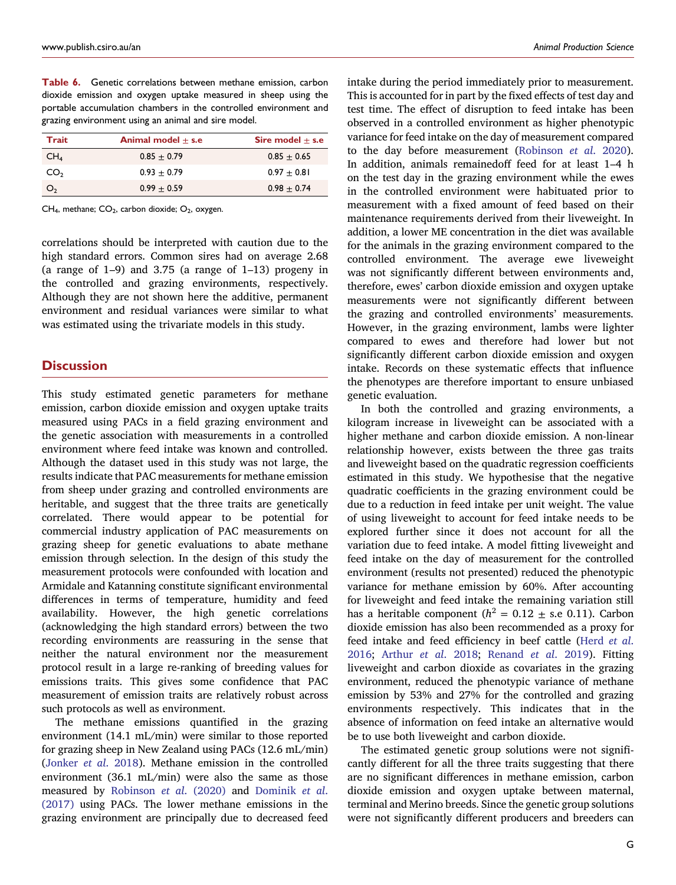<span id="page-6-0"></span>

| <b>Table 6.</b> Genetic correlations between methane emission, carbon |
|-----------------------------------------------------------------------|
| dioxide emission and oxygen uptake measured in sheep using the        |
| portable accumulation chambers in the controlled environment and      |
| grazing environment using an animal and sire model.                   |

| Trait           | Animal model $+$ s.e | Sire model $+$ s.e |
|-----------------|----------------------|--------------------|
| CH <sub>4</sub> | $0.85 + 0.79$        | $0.85 + 0.65$      |
| CO <sub>2</sub> | $0.93 + 0.79$        | $0.97 + 0.81$      |
| O <sub>2</sub>  | $0.99 + 0.59$        | $0.98 + 0.74$      |

 $CH<sub>4</sub>$ , methane;  $CO<sub>2</sub>$ , carbon dioxide;  $O<sub>2</sub>$ , oxygen.

correlations should be interpreted with caution due to the high standard errors. Common sires had on average 2.68 (a range of 1–9) and 3.75 (a range of 1–13) progeny in the controlled and grazing environments, respectively. Although they are not shown here the additive, permanent environment and residual variances were similar to what was estimated using the trivariate models in this study.

## **Discussion**

This study estimated genetic parameters for methane emission, carbon dioxide emission and oxygen uptake traits measured using PACs in a field grazing environment and the genetic association with measurements in a controlled environment where feed intake was known and controlled. Although the dataset used in this study was not large, the results indicate that PAC measurements for methane emission from sheep under grazing and controlled environments are heritable, and suggest that the three traits are genetically correlated. There would appear to be potential for commercial industry application of PAC measurements on grazing sheep for genetic evaluations to abate methane emission through selection. In the design of this study the measurement protocols were confounded with location and Armidale and Katanning constitute significant environmental differences in terms of temperature, humidity and feed availability. However, the high genetic correlations (acknowledging the high standard errors) between the two recording environments are reassuring in the sense that neither the natural environment nor the measurement protocol result in a large re-ranking of breeding values for emissions traits. This gives some confidence that PAC measurement of emission traits are relatively robust across such protocols as well as environment.

The methane emissions quantified in the grazing environment (14.1 mL/min) were similar to those reported for grazing sheep in New Zealand using PACs (12.6 mL/min) [\(Jonker](#page-8-10) et al. 2018). Methane emission in the controlled environment (36.1 mL/min) were also the same as those measured by [Robinson](#page-8-8) et al. (2020) and [Dominik](#page-8-22) et al. [\(2017\)](#page-8-22) using PACs. The lower methane emissions in the grazing environment are principally due to decreased feed intake during the period immediately prior to measurement. This is accounted for in part by the fixed effects of test day and test time. The effect of disruption to feed intake has been observed in a controlled environment as higher phenotypic variance for feed intake on the day of measurement compared to the day before measurement [\(Robinson](#page-8-8) et al. 2020). In addition, animals remainedoff feed for at least 1–4 h on the test day in the grazing environment while the ewes in the controlled environment were habituated prior to measurement with a fixed amount of feed based on their maintenance requirements derived from their liveweight. In addition, a lower ME concentration in the diet was available for the animals in the grazing environment compared to the controlled environment. The average ewe liveweight was not significantly different between environments and, therefore, ewes' carbon dioxide emission and oxygen uptake measurements were not significantly different between the grazing and controlled environments' measurements. However, in the grazing environment, lambs were lighter compared to ewes and therefore had lower but not significantly different carbon dioxide emission and oxygen intake. Records on these systematic effects that influence the phenotypes are therefore important to ensure unbiased genetic evaluation.

In both the controlled and grazing environments, a kilogram increase in liveweight can be associated with a higher methane and carbon dioxide emission. A non-linear relationship however, exists between the three gas traits and liveweight based on the quadratic regression coefficients estimated in this study. We hypothesise that the negative quadratic coefficients in the grazing environment could be due to a reduction in feed intake per unit weight. The value of using liveweight to account for feed intake needs to be explored further since it does not account for all the variation due to feed intake. A model fitting liveweight and feed intake on the day of measurement for the controlled environment (results not presented) reduced the phenotypic variance for methane emission by 60%. After accounting for liveweight and feed intake the remaining variation still has a heritable component ( $h^2 = 0.12 \pm$  s.e 0.11). Carbon dioxide emission has also been recommended as a proxy for feed intake and feed efficiency in beef cattle [\(Herd](#page-8-23) et al. [2016;](#page-8-23) [Arthur](#page-8-24) et al. 2018; [Renand](#page-8-25) et al. 2019). Fitting liveweight and carbon dioxide as covariates in the grazing environment, reduced the phenotypic variance of methane emission by 53% and 27% for the controlled and grazing environments respectively. This indicates that in the absence of information on feed intake an alternative would be to use both liveweight and carbon dioxide.

The estimated genetic group solutions were not significantly different for all the three traits suggesting that there are no significant differences in methane emission, carbon dioxide emission and oxygen uptake between maternal, terminal and Merino breeds. Since the genetic group solutions were not significantly different producers and breeders can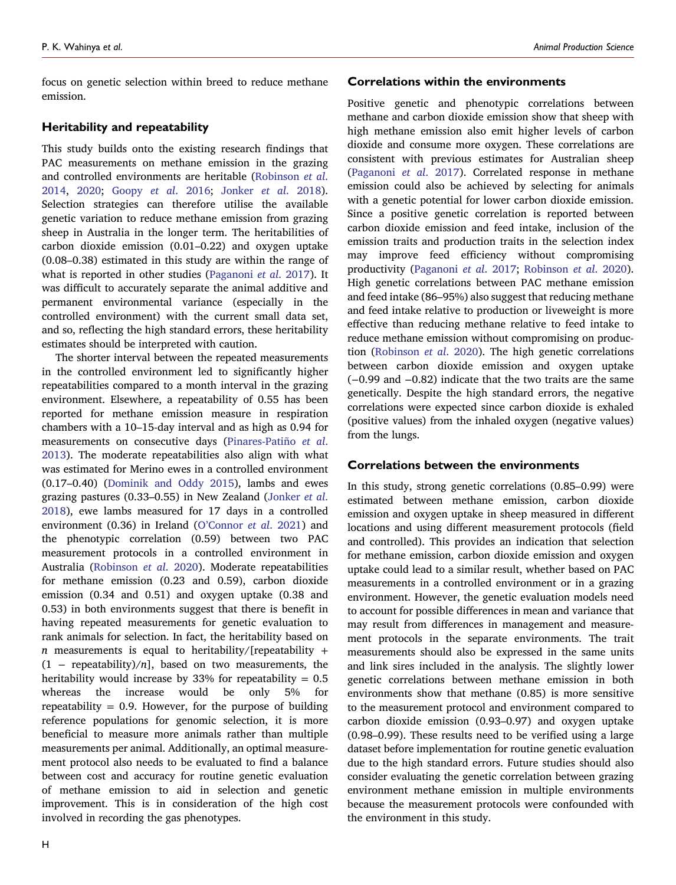focus on genetic selection within breed to reduce methane emission.

## Heritability and repeatability

This study builds onto the existing research findings that PAC measurements on methane emission in the grazing and controlled environments are heritable ([Robinson](#page-8-26) et al. [2014](#page-8-26), [2020](#page-8-8); [Goopy](#page-8-6) et al. 2016; [Jonker](#page-8-10) et al. 2018). Selection strategies can therefore utilise the available genetic variation to reduce methane emission from grazing sheep in Australia in the longer term. The heritabilities of carbon dioxide emission [\(0.01](https://0.01�0.22)–0.22) and oxygen uptake [\(0.08](https://0.08�0.38)–0.38) estimated in this study are within the range of what is reported in other studies ([Paganoni](#page-8-7) et al. 2017). It was difficult to accurately separate the animal additive and permanent environmental variance (especially in the controlled environment) with the current small data set, and so, reflecting the high standard errors, these heritability estimates should be interpreted with caution.

The shorter interval between the repeated measurements in the controlled environment led to significantly higher repeatabilities compared to a month interval in the grazing environment. Elsewhere, a repeatability of 0.55 has been reported for methane emission measure in respiration chambers with a 10–15-day interval and as high as 0.94 for measurements on consecutive days [\(Pinares-Pati](#page-8-9)ño et [al](#page-8-9). [2013](#page-8-9)). The moderate repeatabilities also align with what was estimated for Merino ewes in a controlled environment [\(0.17](https://0.17�0.40)–0.40) ([Dominik](#page-8-27) and Oddy 2015), lambs and ewes grazing pastures (0.33–[0.55\)](https://0.33�0.55) in New Zealand [\(Jonker](#page-8-10) et al. [2018](#page-8-10)), ewe lambs measured for 17 days in a controlled environment (0.36) in Ireland (O'[Connor](#page-8-28) et al. 2021) and the phenotypic correlation (0.59) between two PAC measurement protocols in a controlled environment in Australia ([Robinson](#page-8-8) et al. 2020). Moderate repeatabilities for methane emission (0.23 and 0.59), carbon dioxide emission (0.34 and 0.51) and oxygen uptake (0.38 and 0.53) in both environments suggest that there is benefit in having repeated measurements for genetic evaluation to rank animals for selection. In fact, the heritability based on  $n$  measurements is equal to heritability/[repeatability +  $(1 -$  repeatability)/n], based on two measurements, the heritability would increase by 33% for repeatability  $= 0.5$ whereas the increase would be only 5% for repeatability  $= 0.9$ . However, for the purpose of building reference populations for genomic selection, it is more beneficial to measure more animals rather than multiple measurements per animal. Additionally, an optimal measurement protocol also needs to be evaluated to find a balance between cost and accuracy for routine genetic evaluation of methane emission to aid in selection and genetic improvement. This is in consideration of the high cost involved in recording the gas phenotypes.

#### Correlations within the environments

Positive genetic and phenotypic correlations between methane and carbon dioxide emission show that sheep with high methane emission also emit higher levels of carbon dioxide and consume more oxygen. These correlations are consistent with previous estimates for Australian sheep ([Paganoni](#page-8-7) et al. 2017). Correlated response in methane emission could also be achieved by selecting for animals with a genetic potential for lower carbon dioxide emission. Since a positive genetic correlation is reported between carbon dioxide emission and feed intake, inclusion of the emission traits and production traits in the selection index may improve feed efficiency without compromising productivity ([Paganoni](#page-8-7) et al. 2017; [Robinson](#page-8-8) et al. 2020). High genetic correlations between PAC methane emission and feed intake (86–95%) also suggest that reducing methane and feed intake relative to production or liveweight is more effective than reducing methane relative to feed intake to reduce methane emission without compromising on production ([Robinson](#page-8-8) et al. 2020). The high genetic correlations between carbon dioxide emission and oxygen uptake (−0.99 and −0.82) indicate that the two traits are the same genetically. Despite the high standard errors, the negative correlations were expected since carbon dioxide is exhaled (positive values) from the inhaled oxygen (negative values) from the lungs.

## Correlations between the environments

In this study, strong genetic correlations [\(0.85](https://0.85�0.99)–0.99) were estimated between methane emission, carbon dioxide emission and oxygen uptake in sheep measured in different locations and using different measurement protocols (field and controlled). This provides an indication that selection for methane emission, carbon dioxide emission and oxygen uptake could lead to a similar result, whether based on PAC measurements in a controlled environment or in a grazing environment. However, the genetic evaluation models need to account for possible differences in mean and variance that may result from differences in management and measurement protocols in the separate environments. The trait measurements should also be expressed in the same units and link sires included in the analysis. The slightly lower genetic correlations between methane emission in both environments show that methane (0.85) is more sensitive to the measurement protocol and environment compared to carbon dioxide emission (0.93–[0.97\)](https://0.93�0.97) and oxygen uptake (0.98–[0.99\)](https://0.98�0.99). These results need to be verified using a large dataset before implementation for routine genetic evaluation due to the high standard errors. Future studies should also consider evaluating the genetic correlation between grazing environment methane emission in multiple environments because the measurement protocols were confounded with the environment in this study.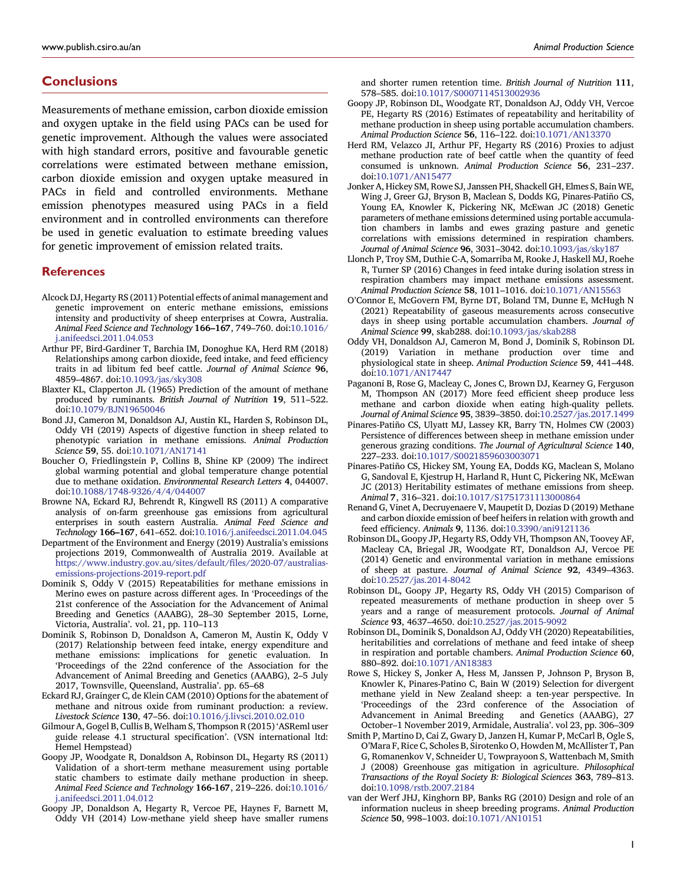# **Conclusions**

Measurements of methane emission, carbon dioxide emission and oxygen uptake in the field using PACs can be used for genetic improvement. Although the values were associated with high standard errors, positive and favourable genetic correlations were estimated between methane emission, carbon dioxide emission and oxygen uptake measured in PACs in field and controlled environments. Methane emission phenotypes measured using PACs in a field environment and in controlled environments can therefore be used in genetic evaluation to estimate breeding values for genetic improvement of emission related traits.

#### **References**

- <span id="page-8-1"></span>AlcockDJ, Hegarty RS (2011) Potential effects of animal management and genetic improvement on enteric methane emissions, emissions intensity and productivity of sheep enterprises at Cowra, Australia. Animal Feed Science and Technology 166–167, 749–760. doi[:10.1016/](https://doi.org/10.1016/j.anifeedsci.2011.04.053) [j.anifeedsci.2011.04.053](https://doi.org/10.1016/j.anifeedsci.2011.04.053)
- <span id="page-8-24"></span>Arthur PF, Bird-Gardiner T, Barchia IM, Donoghue KA, Herd RM (2018) Relationships among carbon dioxide, feed intake, and feed efficiency traits in ad libitum fed beef cattle. Journal of Animal Science 96, 4859–4867. doi:[10.1093/jas/sky308](https://doi.org/10.1093/jas/sky308)
- <span id="page-8-12"></span>Blaxter KL, Clapperton JL (1965) Prediction of the amount of methane produced by ruminants. British Journal of Nutrition 19, 511–522. doi[:10.1079/BJN19650046](https://doi.org/10.1079/BJN19650046)
- <span id="page-8-14"></span>Bond JJ, Cameron M, Donaldson AJ, Austin KL, Harden S, Robinson DL, Oddy VH (2019) Aspects of digestive function in sheep related to phenotypic variation in methane emissions. Animal Production Science 59, 55. doi[:10.1071/AN17141](https://doi.org/10.1071/AN17141)
- <span id="page-8-0"></span>Boucher O, Friedlingstein P, Collins B, Shine KP (2009) The indirect global warming potential and global temperature change potential due to methane oxidation. Environmental Research Letters 4, 044007. doi[:10.1088/1748-9326/4/4/044007](https://doi.org/10.1088/1748-9326/4/4/044007)
- <span id="page-8-2"></span>Browne NA, Eckard RJ, Behrendt R, Kingwell RS (2011) A comparative analysis of on-farm greenhouse gas emissions from agricultural enterprises in south eastern Australia. Animal Feed Science and Technology 166–167, 641–652. doi[:10.1016/j.anifeedsci.2011.04.045](https://doi.org/10.1016/j.anifeedsci.2011.04.045)
- <span id="page-8-3"></span>Department of the Environment and Energy (2019) Australia's emissions projections 2019, Commonwealth of Australia 2019. Available at [https://www.industry.gov.au/sites/default/](https://www.industry.gov.au/sites/default/files/2020-07/australias-emissions-projections-2019-report.pdf)files/2020-07/australias[emissions-projections-2019-report.pdf](https://www.industry.gov.au/sites/default/files/2020-07/australias-emissions-projections-2019-report.pdf)
- <span id="page-8-27"></span>Dominik S, Oddy V (2015) Repeatabilities for methane emissions in Merino ewes on pasture across different ages. In 'Proceedings of the 21st conference of the Association for the Advancement of Animal Breeding and Genetics (AAABG), 28–30 September 2015, Lorne, Victoria, Australia'. vol. 21, pp. 110–113
- <span id="page-8-22"></span>Dominik S, Robinson D, Donaldson A, Cameron M, Austin K, Oddy V (2017) Relationship between feed intake, energy expenditure and methane emissions: implications for genetic evaluation. In 'Proceedings of the 22nd conference of the Association for the Advancement of Animal Breeding and Genetics (AAABG), 2–5 July 2017, Townsville, Queensland, Australia'. pp. 65–68
- <span id="page-8-5"></span>Eckard RJ, Grainger C, de Klein CAM (2010) Options for the abatement of methane and nitrous oxide from ruminant production: a review. Livestock Science 130, 47–56. doi:[10.1016/j.livsci.2010.02.010](https://doi.org/10.1016/j.livsci.2010.02.010)
- <span id="page-8-21"></span>Gilmour A, Gogel B, Cullis B, Welham S, Thompson R (2015)'ASReml user guide release 4.1 structural specification'. (VSN international ltd: Hemel Hempstead)
- <span id="page-8-13"></span>Goopy JP, Woodgate R, Donaldson A, Robinson DL, Hegarty RS (2011) Validation of a short-term methane measurement using portable static chambers to estimate daily methane production in sheep. Animal Feed Science and Technology 166-167, 219–226. doi[:10.1016/](https://doi.org/10.1016/j.anifeedsci.2011.04.012) [j.anifeedsci.2011.04.012](https://doi.org/10.1016/j.anifeedsci.2011.04.012)
- <span id="page-8-17"></span>Goopy JP, Donaldson A, Hegarty R, Vercoe PE, Haynes F, Barnett M, Oddy VH (2014) Low-methane yield sheep have smaller rumens

and shorter rumen retention time. British Journal of Nutrition 111, 578–585. doi[:10.1017/S0007114513002936](https://doi.org/10.1017/S0007114513002936)

- <span id="page-8-6"></span>Goopy JP, Robinson DL, Woodgate RT, Donaldson AJ, Oddy VH, Vercoe PE, Hegarty RS (2016) Estimates of repeatability and heritability of methane production in sheep using portable accumulation chambers. Animal Production Science 56, 116–122. doi:[10.1071/AN13370](https://doi.org/10.1071/AN13370)
- <span id="page-8-23"></span>Herd RM, Velazco JI, Arthur PF, Hegarty RS (2016) Proxies to adjust methane production rate of beef cattle when the quantity of feed consumed is unknown. Animal Production Science 56, 231–237. doi:[10.1071/AN15477](https://doi.org/10.1071/AN15477)
- <span id="page-8-10"></span>JonkerA, Hickey SM, Rowe SJ, Janssen PH, Shackell GH, Elmes S, Bain WE, Wing J, Greer GJ, Bryson B, Maclean S, Dodds KG, Pinares-Patiño CS, Young EA, Knowler K, Pickering NK, McEwan JC (2018) Genetic parameters of methane emissions determined using portable accumulation chambers in lambs and ewes grazing pasture and genetic correlations with emissions determined in respiration chambers. Journal of Animal Science 96, 3031–3042. doi:[10.1093/jas/sky187](https://doi.org/10.1093/jas/sky187)
- <span id="page-8-18"></span>Llonch P, Troy SM, Duthie C-A, Somarriba M, Rooke J, Haskell MJ, Roehe R, Turner SP (2016) Changes in feed intake during isolation stress in respiration chambers may impact methane emissions assessment. Animal Production Science 58, 1011–1016. doi:[10.1071/AN15563](https://doi.org/10.1071/AN15563)
- <span id="page-8-28"></span>O'Connor E, McGovern FM, Byrne DT, Boland TM, Dunne E, McHugh N (2021) Repeatability of gaseous measurements across consecutive days in sheep using portable accumulation chambers. Journal of Animal Science 99, skab288. doi:[10.1093/jas/skab288](https://doi.org/10.1093/jas/skab288)
- <span id="page-8-20"></span>Oddy VH, Donaldson AJ, Cameron M, Bond J, Dominik S, Robinson DL (2019) Variation in methane production over time and physiological state in sheep. Animal Production Science 59, 441-448. doi:[10.1071/AN17447](https://doi.org/10.1071/AN17447)
- <span id="page-8-7"></span>Paganoni B, Rose G, Macleay C, Jones C, Brown DJ, Kearney G, Ferguson M, Thompson AN (2017) More feed efficient sheep produce less methane and carbon dioxide when eating high-quality pellets. Journal of Animal Science 95, 3839–3850. doi:[10.2527/jas.2017.1499](https://doi.org/10.2527/jas.2017.1499)
- <span id="page-8-16"></span>Pinares-Patiño CS, Ulyatt MJ, Lassey KR, Barry TN, Holmes CW (2003) Persistence of differences between sheep in methane emission under generous grazing conditions. The Journal of Agricultural Science 140, 227–233. doi[:10.1017/S0021859603003071](https://doi.org/10.1017/S0021859603003071)
- <span id="page-8-9"></span>Pinares-Patiño CS, Hickey SM, Young EA, Dodds KG, Maclean S, Molano G, Sandoval E, Kjestrup H, Harland R, Hunt C, Pickering NK, McEwan JC (2013) Heritability estimates of methane emissions from sheep. Animal 7, 316–321. doi:[10.1017/S1751731113000864](https://doi.org/10.1017/S1751731113000864)
- <span id="page-8-25"></span>Renand G, Vinet A, Decruyenaere V, Maupetit D, Dozias D (2019) Methane and carbon dioxide emission of beef heifers in relation with growth and feed efficiency. Animals 9, 1136. doi:[10.3390/ani9121136](https://doi.org/10.3390/ani9121136)
- <span id="page-8-26"></span>Robinson DL, Goopy JP, Hegarty RS, Oddy VH, Thompson AN, Toovey AF, Macleay CA, Briegal JR, Woodgate RT, Donaldson AJ, Vercoe PE (2014) Genetic and environmental variation in methane emissions of sheep at pasture. Journal of Animal Science 92, 4349–4363. doi:[10.2527/jas.2014-8042](https://doi.org/10.2527/jas.2014-8042)
- <span id="page-8-15"></span>Robinson DL, Goopy JP, Hegarty RS, Oddy VH (2015) Comparison of repeated measurements of methane production in sheep over 5 years and a range of measurement protocols. Journal of Animal Science 93, 4637–4650. doi[:10.2527/jas.2015-9092](https://doi.org/10.2527/jas.2015-9092)
- <span id="page-8-8"></span>Robinson DL, Dominik S, Donaldson AJ, Oddy VH (2020) Repeatabilities, heritabilities and correlations of methane and feed intake of sheep in respiration and portable chambers. Animal Production Science 60, 880–892. doi[:10.1071/AN18383](https://doi.org/10.1071/AN18383)
- <span id="page-8-11"></span>Rowe S, Hickey S, Jonker A, Hess M, Janssen P, Johnson P, Bryson B, Knowler K, Pinares-Patino C, Bain W (2019) Selection for divergent methane yield in New Zealand sheep: a ten-year perspective. In 'Proceedings of the 23rd conference of the Association of Advancement in Animal Breeding and Genetics (AAABG), 27 October–1 November 2019, Armidale, Australia'. vol 23, pp. 306–309
- <span id="page-8-4"></span>Smith P, Martino D, Cai Z, Gwary D, Janzen H, Kumar P, McCarl B, Ogle S, O'Mara F, Rice C, Scholes B, Sirotenko O, Howden M, McAllister T, Pan G, Romanenkov V, Schneider U, Towprayoon S, Wattenbach M, Smith J (2008) Greenhouse gas mitigation in agriculture. Philosophical Transactions of the Royal Society B: Biological Sciences 363, 789–813. doi:[10.1098/rstb.2007.2184](https://doi.org/10.1098/rstb.2007.2184)
- <span id="page-8-19"></span>van der Werf JHJ, Kinghorn BP, Banks RG (2010) Design and role of an information nucleus in sheep breeding programs. Animal Production Science 50, 998–1003. doi:[10.1071/AN10151](https://doi.org/10.1071/AN10151)